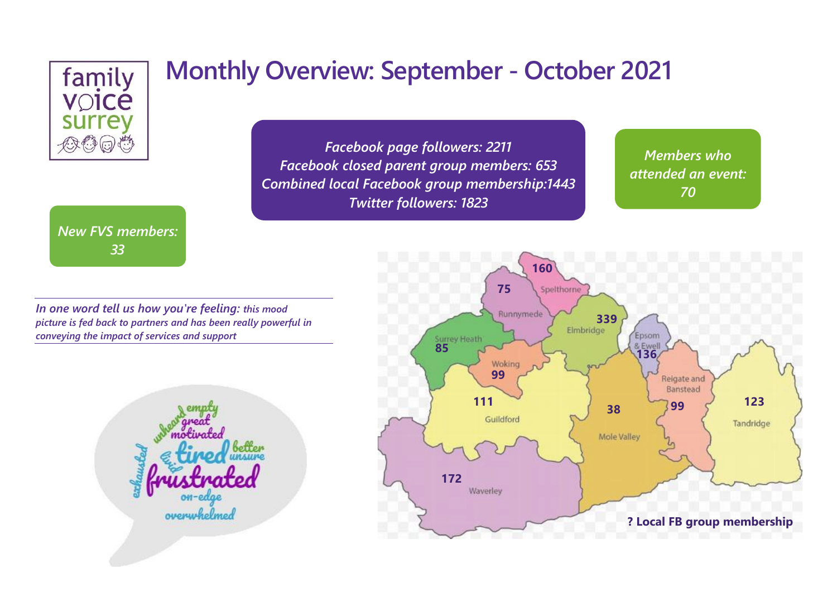

*New FVS members: 33*

# **Monthly Overview: September - October 2021**

*Facebook page followers: 2211 Facebook closed parent group members: 653 Combined local Facebook group membership:1443 Twitter followers: 1823*

*Members who attended an event: 70*



*In one word tell us how you're feeling: this mood picture is fed back to partners and has been really powerful in conveying the impact of services and support*

nolivated

overwhelmed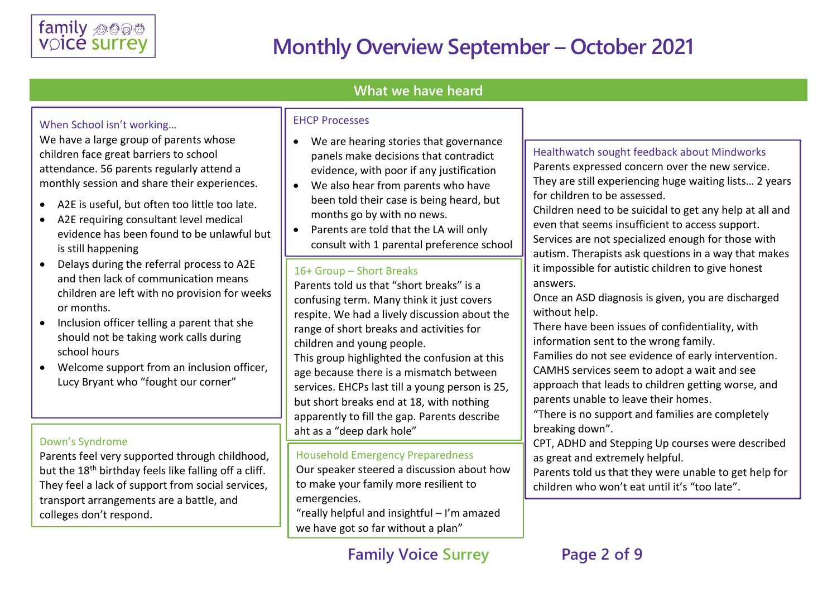

### **What we have heard**

#### When School isn't working…

We have a large group of parents whose children face great barriers to school attendance. 56 parents regularly attend a monthly session and share their experiences.

- A2E is useful, but often too little too late.
- A2E requiring consultant level medical evidence has been found to be unlawful but is still happening
- Delays during the referral process to A2E and then lack of communication means children are left with no provision for weeks or months.
- Inclusion officer telling a parent that she should not be taking work calls during school hours
- Welcome support from an inclusion officer, Lucy Bryant who "fought our corner"

#### Down's Syndrome

Parents feel very supported through childhood, but the 18<sup>th</sup> birthday feels like falling off a cliff. They feel a lack of support from social services, transport arrangements are a battle, and colleges don't respond.

#### EHCP Processes

- We are hearing stories that governance panels make decisions that contradict evidence, with poor if any justification
- We also hear from parents who have been told their case is being heard, but months go by with no news.
- Parents are told that the LA will only consult with 1 parental preference school

#### 16+ Group – Short Breaks

Parents told us that "short breaks" is a confusing term. Many think it just covers respite. We had a lively discussion about the range of short breaks and activities for children and young people. This group highlighted the confusion at this age because there is a mismatch between services. EHCPs last till a young person is 25, but short breaks end at 18, with nothing apparently to fill the gap. Parents describe aht as a "deep dark hole"

#### Household Emergency Preparedness

Our speaker steered a discussion about how to make your family more resilient to emergencies.

"really helpful and insightful – I'm amazed we have got so far without a plan"

#### Healthwatch sought feedback about Mindworks

Parents expressed concern over the new service. They are still experiencing huge waiting lists… 2 years for children to be assessed.

Children need to be suicidal to get any help at all and even that seems insufficient to access support. Services are not specialized enough for those with autism. Therapists ask questions in a way that makes it impossible for autistic children to give honest answers.

Once an ASD diagnosis is given, you are discharged without help.

There have been issues of confidentiality, with information sent to the wrong family.

Families do not see evidence of early intervention. CAMHS services seem to adopt a wait and see approach that leads to children getting worse, and parents unable to leave their homes.

"There is no support and families are completely breaking down".

CPT, ADHD and Stepping Up courses were described as great and extremely helpful.

Parents told us that they were unable to get help for children who won't eat until it's "too late".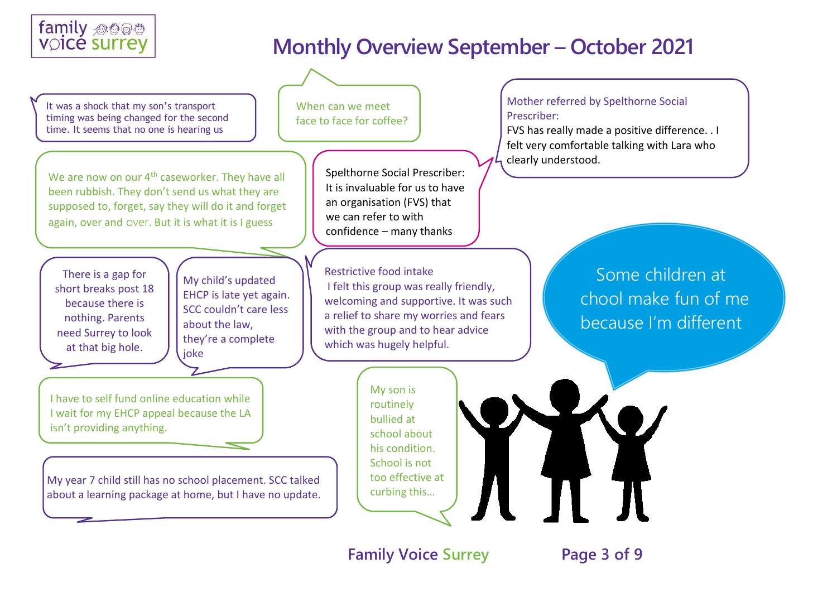

It was a shock that my son's transport timing was being changed for the second time. It seems that no one is hearing us

We are now on our  $4<sup>th</sup>$  caseworker. They have all been rubbish. They don't send us what they are supposed to, forget, say they will do it and forget again, over and over. But it is what it is I guess

There is a gap for short breaks post 18 because there is nothing. Parents need Surrey to look at that big hole.

My child's updated EHCP is late yet again. SCC couldn't care less about the law, they're a complete joke

I have to self fund online education while I wait for my EHCP appeal because the LA isn't providing anything.

My year 7 child still has no school placement. SCC talked about a learning package at home, but I have no update.

When can we meet face to face for coffee?

> Spelthorne Social Prescriber: It is invaluable for us to have an organisation (FVS) that we can refer to with confidence – many thanks

Restrictive food intake I felt this group was really friendly, welcoming and supportive. It was such a relief to share my worries and fears with the group and to hear advice which was hugely helpful.

I felt this group was really friendly, we have and supportive. It was supporting the support of  $\mathcal{N}$ 

a relief to share my son is a relief to share my son is a relief to share  $\mathbb R$ routinely and to hear and to hear and to hear and to hear and to hear and the same state of the same state in the same state of the same state in the same state in the same state in the same state in the same state in the bullied at  $\vert$  school about  $\vert$ **his condition.** It was supportively school is not **Fig. 1**  $\vert \cdot \vert$  too effective at  $\vert \cdot \vert$  $\parallel$  curbing this…

#### Mother referred by Spelthorne Social Prescriber:

FVS has really made a positive difference. . I felt very comfortable talking with Lara who clearly understood.

> Some children at chool make fun of me because I'm different

**Family Voice Surrey Page 3 of 9**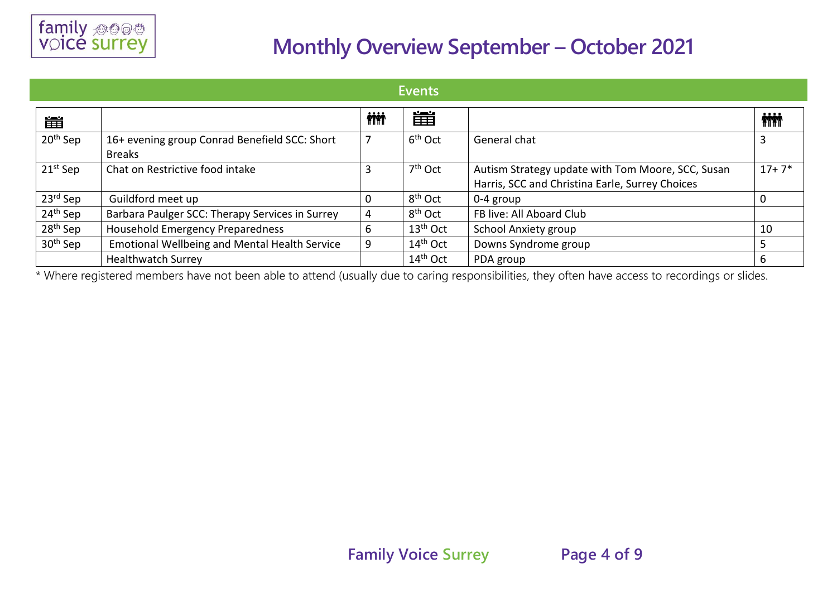

| <b>Events</b>        |                                                                |            |                      |                                                                                                      |            |  |
|----------------------|----------------------------------------------------------------|------------|----------------------|------------------------------------------------------------------------------------------------------|------------|--|
| 雦                    |                                                                | <b>ini</b> | 雦                    |                                                                                                      | <b>ini</b> |  |
| 20 <sup>th</sup> Sep | 16+ evening group Conrad Benefield SCC: Short<br><b>Breaks</b> | -7         | $6th$ Oct            | General chat                                                                                         | 3          |  |
| $21^{st}$ Sep        | Chat on Restrictive food intake                                | 3          | $7th$ Oct            | Autism Strategy update with Tom Moore, SCC, Susan<br>Harris, SCC and Christina Earle, Surrey Choices | $17+7*$    |  |
| 23rd Sep             | Guildford meet up                                              | 0          | 8 <sup>th</sup> Oct  | 0-4 group                                                                                            | 0          |  |
| 24 <sup>th</sup> Sep | Barbara Paulger SCC: Therapy Services in Surrey                | 4          | 8 <sup>th</sup> Oct  | FB live: All Aboard Club                                                                             |            |  |
| 28 <sup>th</sup> Sep | Household Emergency Preparedness                               | 6          | $13th$ Oct           | <b>School Anxiety group</b>                                                                          | 10         |  |
| 30 <sup>th</sup> Sep | <b>Emotional Wellbeing and Mental Health Service</b>           | 9          | $14th$ Oct           | Downs Syndrome group                                                                                 | 5          |  |
|                      | <b>Healthwatch Surrey</b>                                      |            | 14 <sup>th</sup> Oct | PDA group                                                                                            | 6          |  |

\* Where registered members have not been able to attend (usually due to caring responsibilities, they often have access to recordings or slides.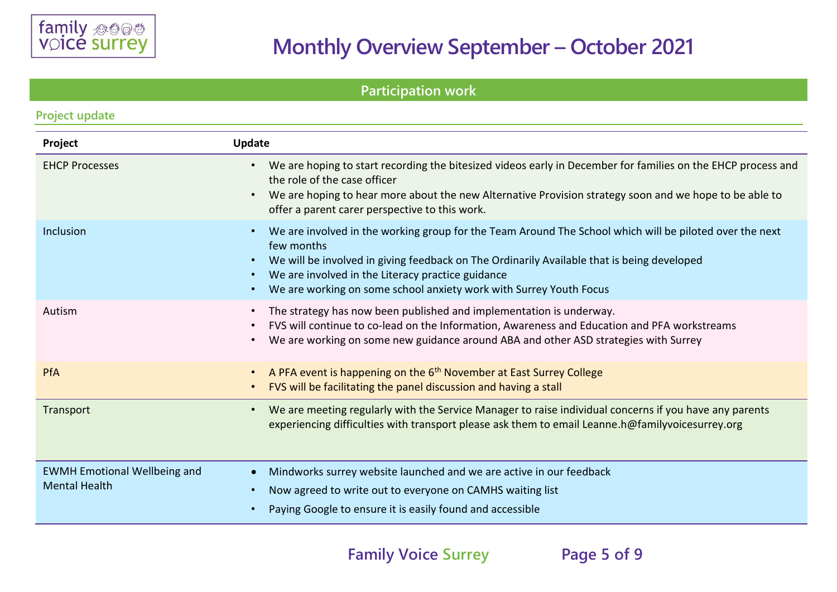

**Project update** 

### **Monthly Overview September – October 2021**

**Participation work** 

| TOJCCC upuuc                                                |                                                                                                                                                                                                                                                                                                                                                                                       |
|-------------------------------------------------------------|---------------------------------------------------------------------------------------------------------------------------------------------------------------------------------------------------------------------------------------------------------------------------------------------------------------------------------------------------------------------------------------|
| Project                                                     | Update                                                                                                                                                                                                                                                                                                                                                                                |
| <b>EHCP Processes</b>                                       | We are hoping to start recording the bitesized videos early in December for families on the EHCP process and<br>$\bullet$<br>the role of the case officer<br>We are hoping to hear more about the new Alternative Provision strategy soon and we hope to be able to<br>offer a parent carer perspective to this work.                                                                 |
| Inclusion                                                   | We are involved in the working group for the Team Around The School which will be piloted over the next<br>$\bullet$<br>few months<br>We will be involved in giving feedback on The Ordinarily Available that is being developed<br>We are involved in the Literacy practice guidance<br>$\bullet$<br>We are working on some school anxiety work with Surrey Youth Focus<br>$\bullet$ |
| Autism                                                      | The strategy has now been published and implementation is underway.<br>$\bullet$<br>FVS will continue to co-lead on the Information, Awareness and Education and PFA workstreams<br>We are working on some new guidance around ABA and other ASD strategies with Surrey                                                                                                               |
| PfA                                                         | A PFA event is happening on the 6 <sup>th</sup> November at East Surrey College<br>FVS will be facilitating the panel discussion and having a stall<br>$\bullet$                                                                                                                                                                                                                      |
| Transport                                                   | We are meeting regularly with the Service Manager to raise individual concerns if you have any parents<br>$\bullet$<br>experiencing difficulties with transport please ask them to email Leanne.h@familyvoicesurrey.org                                                                                                                                                               |
| <b>EWMH Emotional Wellbeing and</b><br><b>Mental Health</b> | Mindworks surrey website launched and we are active in our feedback<br>$\bullet$<br>Now agreed to write out to everyone on CAMHS waiting list<br>Paying Google to ensure it is easily found and accessible                                                                                                                                                                            |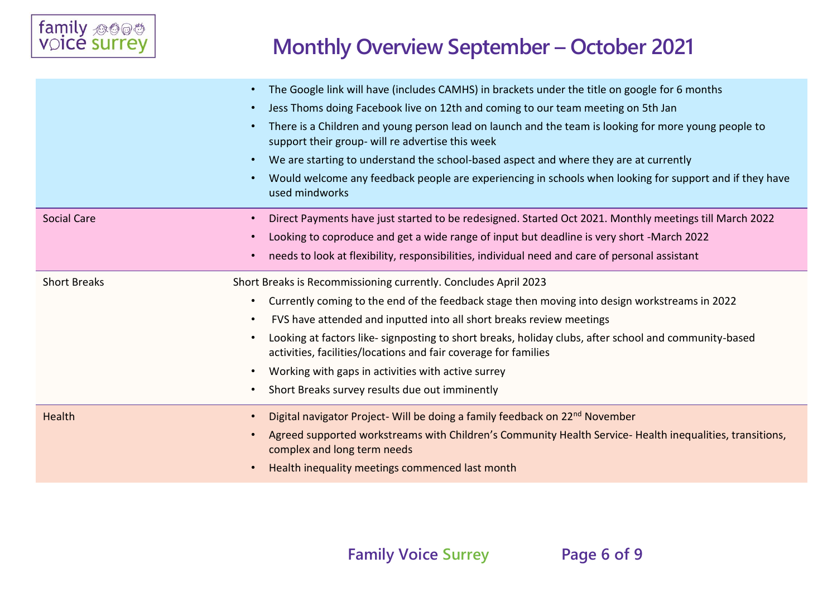

|                     | The Google link will have (includes CAMHS) in brackets under the title on google for 6 months<br>$\bullet$                                               |
|---------------------|----------------------------------------------------------------------------------------------------------------------------------------------------------|
|                     | Jess Thoms doing Facebook live on 12th and coming to our team meeting on 5th Jan                                                                         |
|                     | There is a Children and young person lead on launch and the team is looking for more young people to<br>support their group- will re advertise this week |
|                     | We are starting to understand the school-based aspect and where they are at currently                                                                    |
|                     | Would welcome any feedback people are experiencing in schools when looking for support and if they have<br>used mindworks                                |
| <b>Social Care</b>  | Direct Payments have just started to be redesigned. Started Oct 2021. Monthly meetings till March 2022                                                   |
|                     | Looking to coproduce and get a wide range of input but deadline is very short -March 2022                                                                |
|                     | needs to look at flexibility, responsibilities, individual need and care of personal assistant                                                           |
| <b>Short Breaks</b> | Short Breaks is Recommissioning currently. Concludes April 2023                                                                                          |
|                     | Currently coming to the end of the feedback stage then moving into design workstreams in 2022<br>$\bullet$                                               |
|                     | FVS have attended and inputted into all short breaks review meetings<br>$\bullet$                                                                        |
|                     | Looking at factors like- signposting to short breaks, holiday clubs, after school and community-based                                                    |
|                     | activities, facilities/locations and fair coverage for families                                                                                          |
|                     | Working with gaps in activities with active surrey                                                                                                       |
|                     | Short Breaks survey results due out imminently                                                                                                           |
| Health              | Digital navigator Project- Will be doing a family feedback on 22 <sup>nd</sup> November                                                                  |
|                     | Agreed supported workstreams with Children's Community Health Service- Health inequalities, transitions,<br>complex and long term needs                  |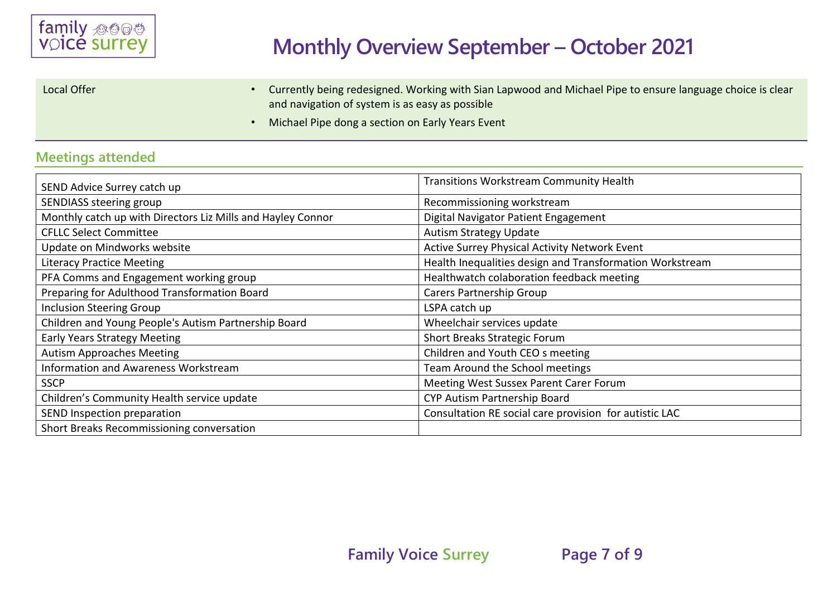

| Local Offer | Currently being redesigned. Working with Sian Lapwood and Michael Pipe to ensure language choice is clear<br>and navigation of system is as easy as possible |
|-------------|--------------------------------------------------------------------------------------------------------------------------------------------------------------|
|             | Michael Pipe dong a section on Early Years Event                                                                                                             |

### **Meetings attended**

| SEND Advice Surrey catch up                                 | <b>Transitions Workstream Community Health</b>           |  |  |
|-------------------------------------------------------------|----------------------------------------------------------|--|--|
| SENDIASS steering group                                     | Recommissioning workstream                               |  |  |
| Monthly catch up with Directors Liz Mills and Hayley Connor | Digital Navigator Patient Engagement                     |  |  |
| <b>CFLLC Select Committee</b>                               | <b>Autism Strategy Update</b>                            |  |  |
| Update on Mindworks website                                 | Active Surrey Physical Activity Network Event            |  |  |
| <b>Literacy Practice Meeting</b>                            | Health Inequalities design and Transformation Workstream |  |  |
| PFA Comms and Engagement working group                      | Healthwatch colaboration feedback meeting                |  |  |
| Preparing for Adulthood Transformation Board                | <b>Carers Partnership Group</b>                          |  |  |
| <b>Inclusion Steering Group</b>                             | LSPA catch up                                            |  |  |
| Children and Young People's Autism Partnership Board        | Wheelchair services update                               |  |  |
| <b>Early Years Strategy Meeting</b>                         | Short Breaks Strategic Forum                             |  |  |
| <b>Autism Approaches Meeting</b>                            | Children and Youth CEO s meeting                         |  |  |
| Information and Awareness Workstream                        | Team Around the School meetings                          |  |  |
| <b>SSCP</b>                                                 | Meeting West Sussex Parent Carer Forum                   |  |  |
| Children's Community Health service update                  | CYP Autism Partnership Board                             |  |  |
| SEND Inspection preparation                                 | Consultation RE social care provision for autistic LAC   |  |  |
| Short Breaks Recommissioning conversation                   |                                                          |  |  |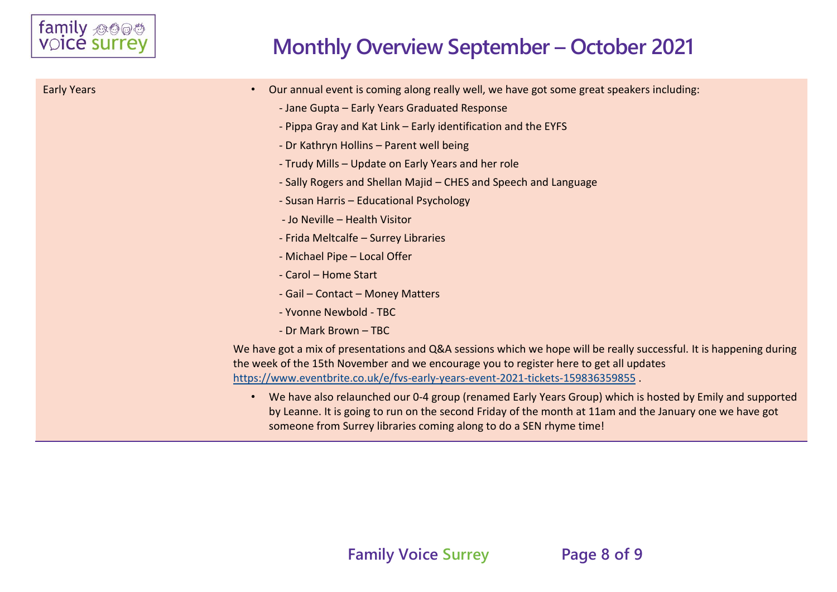

| <b>Early Years</b> | Our annual event is coming along really well, we have got some great speakers including:                                                                                                                                                                                                         |
|--------------------|--------------------------------------------------------------------------------------------------------------------------------------------------------------------------------------------------------------------------------------------------------------------------------------------------|
|                    | - Jane Gupta - Early Years Graduated Response                                                                                                                                                                                                                                                    |
|                    | - Pippa Gray and Kat Link – Early identification and the EYFS                                                                                                                                                                                                                                    |
|                    | - Dr Kathryn Hollins - Parent well being                                                                                                                                                                                                                                                         |
|                    | - Trudy Mills - Update on Early Years and her role                                                                                                                                                                                                                                               |
|                    | - Sally Rogers and Shellan Majid – CHES and Speech and Language                                                                                                                                                                                                                                  |
|                    | - Susan Harris - Educational Psychology                                                                                                                                                                                                                                                          |
|                    | - Jo Neville - Health Visitor                                                                                                                                                                                                                                                                    |
|                    | - Frida Meltcalfe - Surrey Libraries                                                                                                                                                                                                                                                             |
|                    | - Michael Pipe - Local Offer                                                                                                                                                                                                                                                                     |
|                    | - Carol - Home Start                                                                                                                                                                                                                                                                             |
|                    | - Gail - Contact - Money Matters                                                                                                                                                                                                                                                                 |
|                    | - Yvonne Newbold - TBC                                                                                                                                                                                                                                                                           |
|                    | - Dr Mark Brown - TBC                                                                                                                                                                                                                                                                            |
|                    | We have got a mix of presentations and Q&A sessions which we hope will be really successful. It is happening during<br>the week of the 15th November and we encourage you to register here to get all updates<br>https://www.eventbrite.co.uk/e/fvs-early-years-event-2021-tickets-159836359855. |
|                    | We have also relaunched our 0-4 group (renamed Early Years Group) which is hosted by Emily and supported<br>by Leanne. It is going to run on the second Friday of the month at 11am and the January one we have got<br>someone from Surrey libraries coming along to do a SEN rhyme time!        |